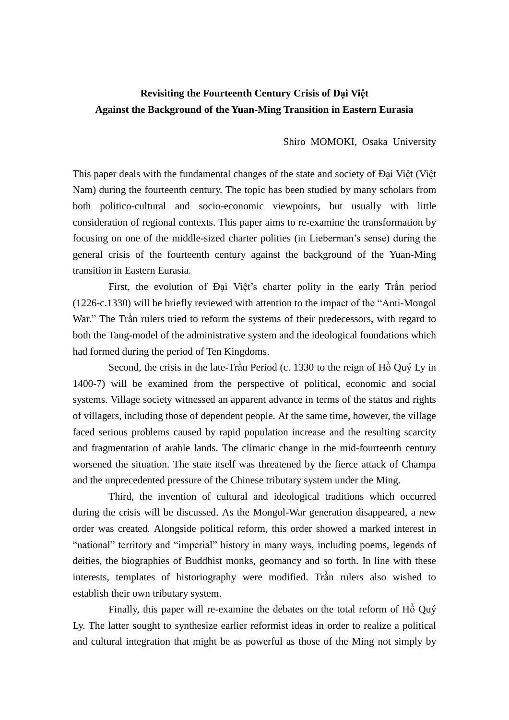## **Revisiting the Fourteenth Century Crisis of Đại Việt Against the Background of the Yuan-Ming Transition in Eastern Eurasia**

Shiro MOMOKI, Osaka University

This paper deals with the fundamental changes of the state and society of Đại Việt (Việt Nam) during the fourteenth century. The topic has been studied by many scholars from both politico-cultural and socio-economic viewpoints, but usually with little consideration of regional contexts. This paper aims to re-examine the transformation by focusing on one of the middle-sized charter polities (in Lieberman's sense) during the general crisis of the fourteenth century against the background of the Yuan-Ming transition in Eastern Eurasia.

First, the evolution of Đại Việt's charter polity in the early Trần period (1226-c.1330) will be briefly reviewed with attention to the impact of the "Anti-Mongol War." The Trần rulers tried to reform the systems of their predecessors, with regard to both the Tang-model of the administrative system and the ideological foundations which had formed during the period of Ten Kingdoms.

Second, the crisis in the late-Trần Period (c. 1330 to the reign of Hồ Quý Ly in 1400-7) will be examined from the perspective of political, economic and social systems. Village society witnessed an apparent advance in terms of the status and rights of villagers, including those of dependent people. At the same time, however, the village faced serious problems caused by rapid population increase and the resulting scarcity and fragmentation of arable lands. The climatic change in the mid-fourteenth century worsened the situation. The state itself was threatened by the fierce attack of Champa and the unprecedented pressure of the Chinese tributary system under the Ming.

Third, the invention of cultural and ideological traditions which occurred during the crisis will be discussed. As the Mongol-War generation disappeared, a new order was created. Alongside political reform, this order showed a marked interest in "national" territory and "imperial" history in many ways, including poems, legends of deities, the biographies of Buddhist monks, geomancy and so forth. In line with these interests, templates of historiography were modified. Trần rulers also wished to establish their own tributary system.

Finally, this paper will re-examine the debates on the total reform of Hồ Quý Ly. The latter sought to synthesize earlier reformist ideas in order to realize a political and cultural integration that might be as powerful as those of the Ming not simply by